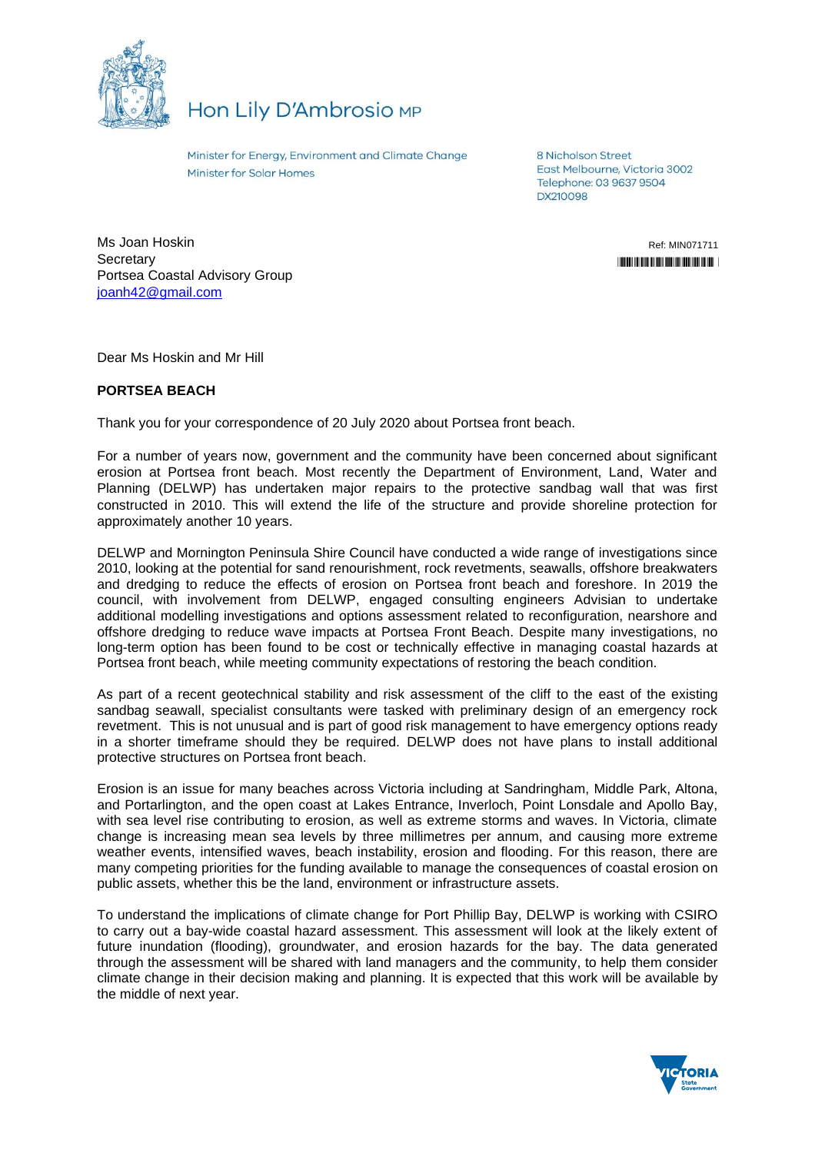

## Hon Lily D'Ambrosio MP

Minister for Energy, Environment and Climate Change **Minister for Solar Homes** 

8 Nicholson Street East Melbourne, Victoria 3002 Telephone: 03 9637 9504 DX210098

Ms Joan Hoskin **Secretary** Portsea Coastal Advisory Group [joanh42@gmail.com](mailto:joanh42@gmail.com)

Ref: MIN071711 "MINOR" \* MINOR \* MINOR \* MINOR \* MINOR \* MINOR \* MINOR \* MINOR \* MINOR \* MINOR \* MINOR \* MINOR \* MINOR \* MINOR

Dear Ms Hoskin and Mr Hill

## **PORTSEA BEACH**

Thank you for your correspondence of 20 July 2020 about Portsea front beach.

For a number of years now, government and the community have been concerned about significant erosion at Portsea front beach. Most recently the Department of Environment, Land, Water and Planning (DELWP) has undertaken major repairs to the protective sandbag wall that was first constructed in 2010. This will extend the life of the structure and provide shoreline protection for approximately another 10 years.

DELWP and Mornington Peninsula Shire Council have conducted a wide range of investigations since 2010, looking at the potential for sand renourishment, rock revetments, seawalls, offshore breakwaters and dredging to reduce the effects of erosion on Portsea front beach and foreshore. In 2019 the council, with involvement from DELWP, engaged consulting engineers Advisian to undertake additional modelling investigations and options assessment related to reconfiguration, nearshore and offshore dredging to reduce wave impacts at Portsea Front Beach. Despite many investigations, no long-term option has been found to be cost or technically effective in managing coastal hazards at Portsea front beach, while meeting community expectations of restoring the beach condition.

As part of a recent geotechnical stability and risk assessment of the cliff to the east of the existing sandbag seawall, specialist consultants were tasked with preliminary design of an emergency rock revetment. This is not unusual and is part of good risk management to have emergency options ready in a shorter timeframe should they be required. DELWP does not have plans to install additional protective structures on Portsea front beach.

Erosion is an issue for many beaches across Victoria including at Sandringham, Middle Park, Altona, and Portarlington, and the open coast at Lakes Entrance, Inverloch, Point Lonsdale and Apollo Bay, with sea level rise contributing to erosion, as well as extreme storms and waves. In Victoria, climate change is increasing mean sea levels by three millimetres per annum, and causing more extreme weather events, intensified waves, beach instability, erosion and flooding. For this reason, there are many competing priorities for the funding available to manage the consequences of coastal erosion on public assets, whether this be the land, environment or infrastructure assets.

To understand the implications of climate change for Port Phillip Bay, DELWP is working with CSIRO to carry out a bay-wide coastal hazard assessment. This assessment will look at the likely extent of future inundation (flooding), groundwater, and erosion hazards for the bay. The data generated through the assessment will be shared with land managers and the community, to help them consider climate change in their decision making and planning. It is expected that this work will be available by the middle of next year.